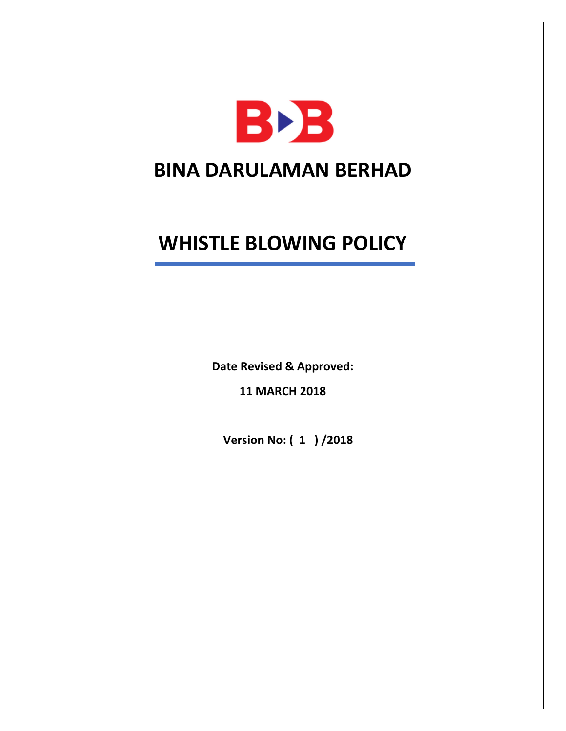

# **WHISTLE BLOWING POLICY**

**Date Revised & Approved:**

**11 MARCH 2018**

 **Version No: ( 1 ) /2018**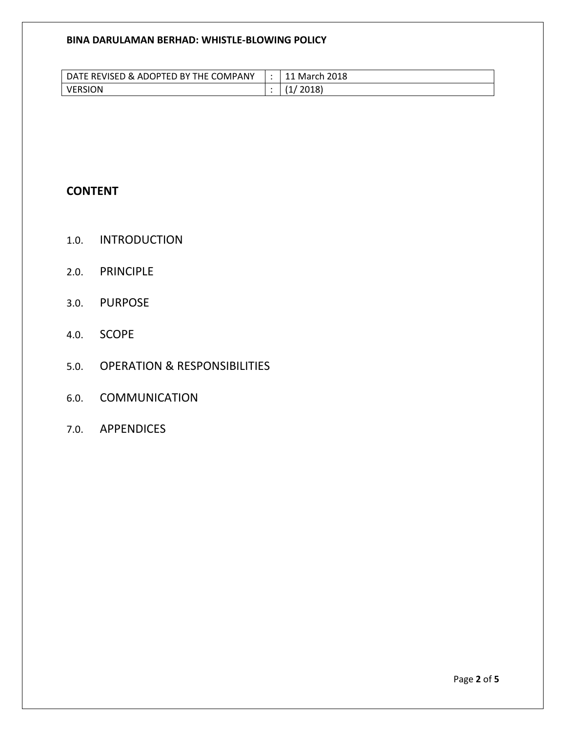# **BINA DARULAMAN BERHAD: WHISTLE-BLOWING POLICY**

| DATE REVISED & ADOPTED BY THE COMPANY | March 2018 |
|---------------------------------------|------------|
| VERSION                               | 2018)      |

# **CONTENT**

- 1.0. INTRODUCTION
- 2.0. PRINCIPLE
- 3.0. PURPOSE
- 4.0. SCOPE
- 5.0. OPERATION & RESPONSIBILITIES
- 6.0. COMMUNICATION
- 7.0. APPENDICES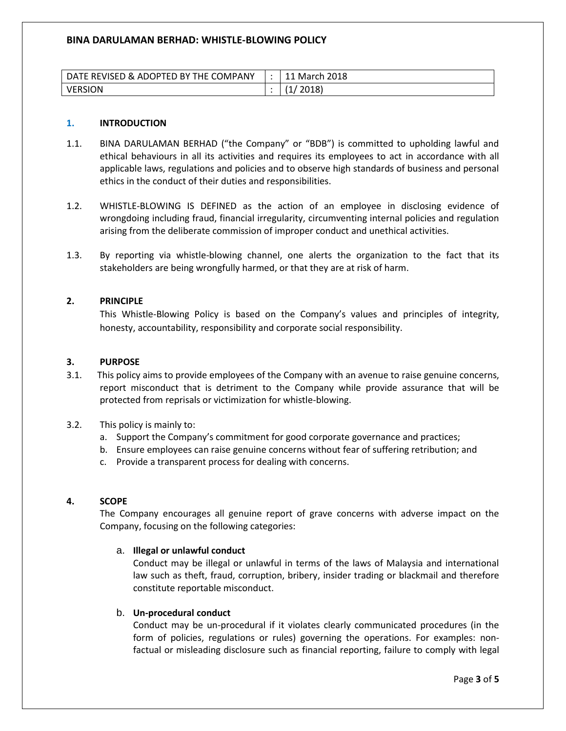# **BINA DARULAMAN BERHAD: WHISTLE-BLOWING POLICY**

| DATE REVISED & ADOPTED BY THE COMPANY | . March 2018 |
|---------------------------------------|--------------|
| <b>VERSION</b>                        | 2018)        |

#### **1. INTRODUCTION**

- 1.1. BINA DARULAMAN BERHAD ("the Company" or "BDB") is committed to upholding lawful and ethical behaviours in all its activities and requires its employees to act in accordance with all applicable laws, regulations and policies and to observe high standards of business and personal ethics in the conduct of their duties and responsibilities.
- 1.2. WHISTLE-BLOWING IS DEFINED as the action of an employee in disclosing evidence of wrongdoing including fraud, financial irregularity, circumventing internal policies and regulation arising from the deliberate commission of improper conduct and unethical activities.
- 1.3. By reporting via whistle-blowing channel, one alerts the organization to the fact that its stakeholders are being wrongfully harmed, or that they are at risk of harm.

#### **2. PRINCIPLE**

This Whistle-Blowing Policy is based on the Company's values and principles of integrity, honesty, accountability, responsibility and corporate social responsibility.

#### **3. PURPOSE**

- 3.1. This policy aims to provide employees of the Company with an avenue to raise genuine concerns, report misconduct that is detriment to the Company while provide assurance that will be protected from reprisals or victimization for whistle-blowing.
- 3.2. This policy is mainly to:
	- a. Support the Company's commitment for good corporate governance and practices;
	- b. Ensure employees can raise genuine concerns without fear of suffering retribution; and
	- c. Provide a transparent process for dealing with concerns.

#### **4. SCOPE**

The Company encourages all genuine report of grave concerns with adverse impact on the Company, focusing on the following categories:

#### a. **Illegal or unlawful conduct**

Conduct may be illegal or unlawful in terms of the laws of Malaysia and international law such as theft, fraud, corruption, bribery, insider trading or blackmail and therefore constitute reportable misconduct.

#### b. **Un-procedural conduct**

Conduct may be un-procedural if it violates clearly communicated procedures (in the form of policies, regulations or rules) governing the operations. For examples: nonfactual or misleading disclosure such as financial reporting, failure to comply with legal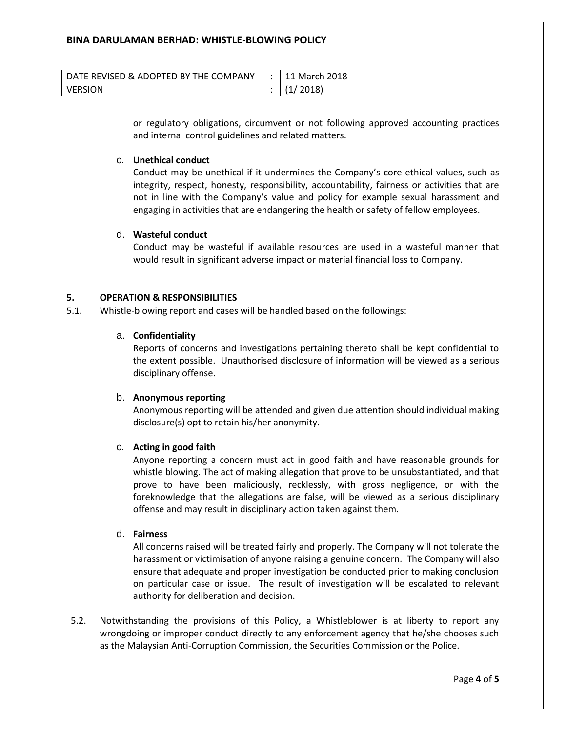| DATE REVISED & ADOPTED BY THE COMPANY | March 2018 |
|---------------------------------------|------------|
| VERSION                               | 2018)      |

or regulatory obligations, circumvent or not following approved accounting practices and internal control guidelines and related matters.

### c. **Unethical conduct**

Conduct may be unethical if it undermines the Company's core ethical values, such as integrity, respect, honesty, responsibility, accountability, fairness or activities that are not in line with the Company's value and policy for example sexual harassment and engaging in activities that are endangering the health or safety of fellow employees.

#### d. **Wasteful conduct**

Conduct may be wasteful if available resources are used in a wasteful manner that would result in significant adverse impact or material financial loss to Company.

#### **5. OPERATION & RESPONSIBILITIES**

5.1. Whistle-blowing report and cases will be handled based on the followings:

#### a. **Confidentiality**

Reports of concerns and investigations pertaining thereto shall be kept confidential to the extent possible. Unauthorised disclosure of information will be viewed as a serious disciplinary offense.

#### b. **Anonymous reporting**

Anonymous reporting will be attended and given due attention should individual making disclosure(s) opt to retain his/her anonymity.

# c. **Acting in good faith**

Anyone reporting a concern must act in good faith and have reasonable grounds for whistle blowing. The act of making allegation that prove to be unsubstantiated, and that prove to have been maliciously, recklessly, with gross negligence, or with the foreknowledge that the allegations are false, will be viewed as a serious disciplinary offense and may result in disciplinary action taken against them.

# d. **Fairness**

All concerns raised will be treated fairly and properly. The Company will not tolerate the harassment or victimisation of anyone raising a genuine concern. The Company will also ensure that adequate and proper investigation be conducted prior to making conclusion on particular case or issue. The result of investigation will be escalated to relevant authority for deliberation and decision.

5.2. Notwithstanding the provisions of this Policy, a Whistleblower is at liberty to report any wrongdoing or improper conduct directly to any enforcement agency that he/she chooses such as the Malaysian Anti-Corruption Commission, the Securities Commission or the Police.